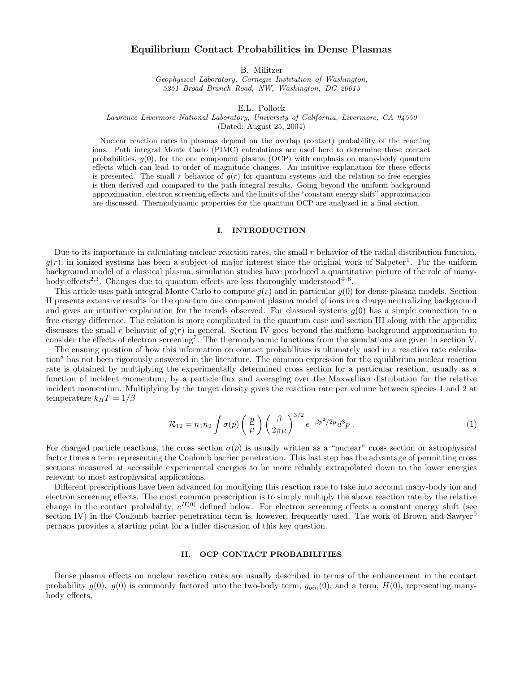# Equilibrium Contact Probabilities in Dense Plasmas

B. Militzer

Geophysical Laboratory, Carnegie Institution of Washington, 5251 Broad Branch Road, NW, Washington, DC 20015

E.L. Pollock

Lawrence Livermore National Laboratory, University of California, Livermore, CA 94550

(Dated: August 25, 2004)

Nuclear reaction rates in plasmas depend on the overlap (contact) probability of the reacting ions. Path integral Monte Carlo (PIMC) calculations are used here to determine these contact probabilities,  $g(0)$ , for the one component plasma (OCP) with emphasis on many-body quantum effects which can lead to order of magnitude changes. An intuitive explanation for these effects is presented. The small r behavior of  $g(r)$  for quantum systems and the relation to free energies is then derived and compared to the path integral results. Going beyond the uniform background approximation, electron screening effects and the limits of the "constant energy shift" approximation are discussed. Thermodynamic properties for the quantum OCP are analyzed in a final section.

### I. INTRODUCTION

Due to its importance in calculating nuclear reaction rates, the small  $r$  behavior of the radial distribution function,  $g(r)$ , in ionized systems has been a subject of major interest since the original work of Salpeter<sup>1</sup>. For the uniform background model of a classical plasma, simulation studies have produced a quantitative picture of the role of manybody effects<sup>2,3</sup>. Changes due to quantum effects are less thoroughly understood<sup>4-6</sup>.

This article uses path integral Monte Carlo to compute  $q(r)$  and in particular  $q(0)$  for dense plasma models. Section II presents extensive results for the quantum one component plasma model of ions in a charge neutralizing background and gives an intuitive explanation for the trends observed. For classical systems  $q(0)$  has a simple connection to a free energy difference. The relation is more complicated in the quantum case and section III along with the appendix discusses the small r behavior of  $g(r)$  in general. Section IV goes beyond the uniform background approximation to consider the effects of electron screening<sup>7</sup>. The thermodynamic functions from the simulations are given in section V.

The ensuing question of how this information on contact probabilities is ultimately used in a reaction rate calculation<sup>8</sup> has not been rigorously answered in the literature. The common expression for the equilibrium nuclear reaction rate is obtained by multiplying the experimentally determined cross section for a particular reaction, usually as a function of incident momentum, by a particle flux and averaging over the Maxwellian distribution for the relative incident momentum. Multiplying by the target density gives the reaction rate per volume between species 1 and 2 at temperature  $k_BT = 1/\beta$ 

$$
\mathcal{R}_{12} = n_1 n_2 \int \sigma(p) \left(\frac{p}{\mu}\right) \left(\frac{\beta}{2\pi\mu}\right)^{3/2} e^{-\beta p^2/2\mu} d^3p \,. \tag{1}
$$

For charged particle reactions, the cross section  $\sigma(p)$  is usually written as a "nuclear" cross section or astrophysical factor times a term representing the Coulomb barrier penetration. This last step has the advantage of permitting cross sections measured at accessible experimental energies to be more reliably extrapolated down to the lower energies relevant to most astrophysical applications.

Different prescriptions have been advanced for modifying this reaction rate to take into account many-body ion and electron screening effects. The most common prescription is to simply multiply the above reaction rate by the relative change in the contact probability,  $e^{H(0)}$  defined below. For electron screening effects a constant energy shift (see section IV) in the Coulomb barrier penetration term is, however, frequently used. The work of Brown and Sawyer<sup>9</sup> perhaps provides a starting point for a fuller discussion of this key question.

### II. OCP CONTACT PROBABILITIES

Dense plasma effects on nuclear reaction rates are usually described in terms of the enhancement in the contact probability  $g(0)$ .  $g(0)$  is commonly factored into the two-body term,  $g_{bin}(0)$ , and a term,  $H(0)$ , representing manybody effects,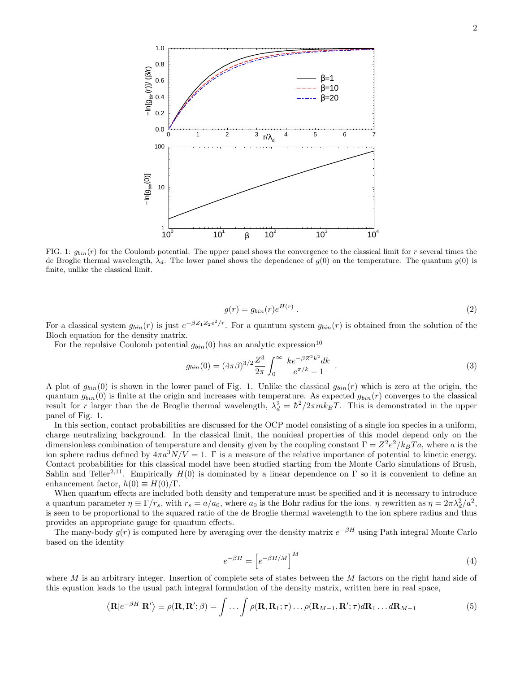

FIG. 1:  $g_{bin}(r)$  for the Coulomb potential. The upper panel shows the convergence to the classical limit for r several times the de Broglie thermal wavelength,  $\lambda_d$ . The lower panel shows the dependence of  $g(0)$  on the temperature. The quantum  $g(0)$  is finite, unlike the classical limit.

$$
g(r) = g_{bin}(r)e^{H(r)}.
$$
\n<sup>(2)</sup>

For a classical system  $g_{bin}(r)$  is just  $e^{-\beta Z_1 Z_2 e^2/r}$ . For a quantum system  $g_{bin}(r)$  is obtained from the solution of the Bloch equation for the density matrix.

For the repulsive Coulomb potential  $g_{bin}(0)$  has an analytic expression<sup>10</sup>

$$
g_{bin}(0) = (4\pi\beta)^{3/2} \frac{Z^3}{2\pi} \int_0^\infty \frac{k e^{-\beta Z^2 k^2} dk}{e^{\pi/k} - 1} . \tag{3}
$$

A plot of  $g_{bin}(0)$  is shown in the lower panel of Fig. 1. Unlike the classical  $g_{bin}(r)$  which is zero at the origin, the quantum  $g_{bin}(0)$  is finite at the origin and increases with temperature. As expected  $g_{bin}(r)$  converges to the classical result for r larger than the de Broglie thermal wavelength,  $\lambda_d^2 = \hbar^2/2\pi m k_B T$ . This is demonstrated in the upper panel of Fig. 1.

In this section, contact probabilities are discussed for the OCP model consisting of a single ion species in a uniform, charge neutralizing background. In the classical limit, the nonideal properties of this model depend only on the dimensionless combination of temperature and density given by the coupling constant  $\Gamma = Z^2 e^2 / k_B T a$ , where a is the ion sphere radius defined by  $4\pi a^3 N/V = 1$ . Γ is a measure of the relative importance of potential to kinetic energy. Contact probabilities for this classical model have been studied starting from the Monte Carlo simulations of Brush, Sahlin and Teller<sup>2,11</sup>. Empirically  $H(0)$  is dominated by a linear dependence on  $\Gamma$  so it is convenient to define an enhancement factor,  $h(0) \equiv H(0)/\Gamma$ .

When quantum effects are included both density and temperature must be specified and it is necessary to introduce a quantum parameter  $\eta \equiv \Gamma/r_s$ , with  $r_s = a/a_0$ , where  $a_0$  is the Bohr radius for the ions.  $\eta$  rewritten as  $\eta = 2\pi\lambda_d^2/a^2$ , is seen to be proportional to the squared ratio of the de Broglie thermal wavelength to the ion sphere radius and thus provides an appropriate gauge for quantum effects.

The many-body  $g(r)$  is computed here by averaging over the density matrix  $e^{-\beta H}$  using Path integral Monte Carlo based on the identity

$$
e^{-\beta H} = \left[e^{-\beta H/M}\right]^M\tag{4}
$$

where M is an arbitrary integer. Insertion of complete sets of states between the M factors on the right hand side of this equation leads to the usual path integral formulation of the density matrix, written here in real space,

$$
\langle \mathbf{R} | e^{-\beta H} | \mathbf{R}' \rangle \equiv \rho(\mathbf{R}, \mathbf{R}'; \beta) = \int \dots \int \rho(\mathbf{R}, \mathbf{R}_1; \tau) \dots \rho(\mathbf{R}_{M-1}, \mathbf{R}'; \tau) d\mathbf{R}_1 \dots d\mathbf{R}_{M-1}
$$
(5)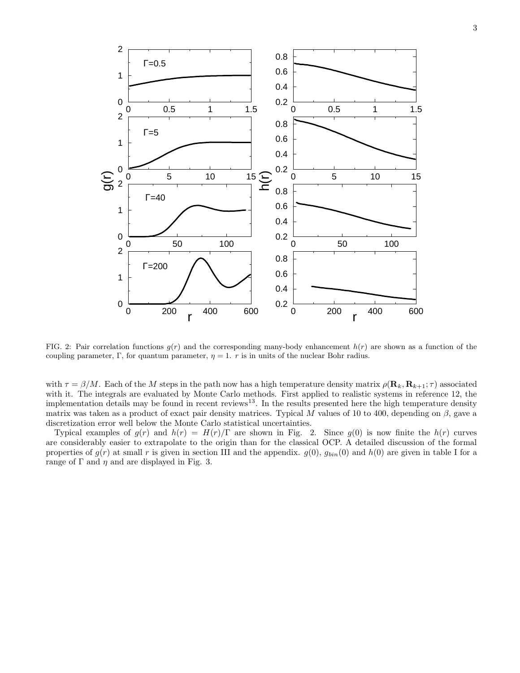

FIG. 2: Pair correlation functions  $g(r)$  and the corresponding many-body enhancement  $h(r)$  are shown as a function of the coupling parameter, Γ, for quantum parameter,  $\eta = 1$ . r is in units of the nuclear Bohr radius.

with  $\tau = \beta/M$ . Each of the M steps in the path now has a high temperature density matrix  $\rho(\mathbf{R}_k, \mathbf{R}_{k+1}; \tau)$  associated with it. The integrals are evaluated by Monte Carlo methods. First applied to realistic systems in reference 12, the implementation details may be found in recent reviews<sup>13</sup>. In the results presented here the high temperature density matrix was taken as a product of exact pair density matrices. Typical M values of 10 to 400, depending on  $\beta$ , gave a discretization error well below the Monte Carlo statistical uncertainties.

Typical examples of  $g(r)$  and  $h(r) = H(r)/\Gamma$  are shown in Fig. 2. Since  $g(0)$  is now finite the  $h(r)$  curves are considerably easier to extrapolate to the origin than for the classical OCP. A detailed discussion of the formal properties of  $g(r)$  at small r is given in section III and the appendix.  $g(0)$ ,  $g_{bin}(0)$  and  $h(0)$  are given in table I for a range of  $\Gamma$  and  $\eta$  and are displayed in Fig. 3.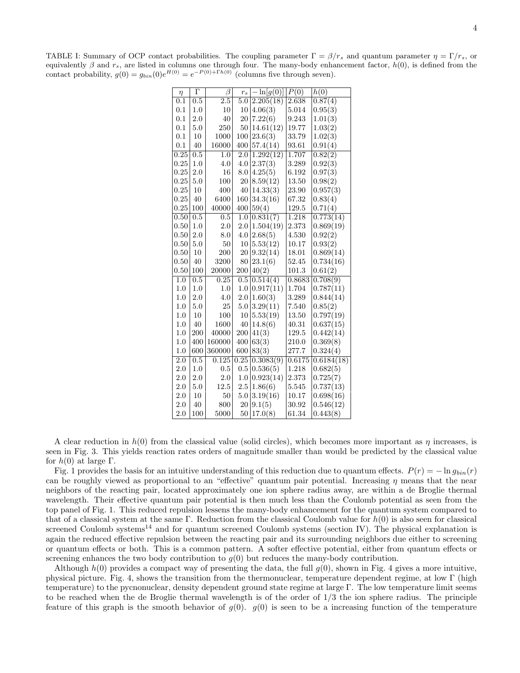TABLE I: Summary of OCP contact probabilities. The coupling parameter  $\Gamma = \beta/r_s$  and quantum parameter  $\eta = \Gamma/r_s$ , or equivalently  $\beta$  and  $r_s$ , are listed in columns one through four. The many-body enhancement factor,  $h(0)$ , is defined from the contact probability,  $g(0) = g_{bin}(0)e^{H(0)} = e^{-P(0) + \Gamma h(0)}$  (columns five through seven).

|                  | $\Gamma$ | β                |         |              | P(0)   |            |
|------------------|----------|------------------|---------|--------------|--------|------------|
| $\eta$           |          | $\overline{2.5}$ | $r_{s}$ | $-\ln[g(0)]$ |        | h(0)       |
| $\overline{0.1}$ | 0.5      |                  | 5.0     | 2.205(18)    | 2.638  | 0.87(4)    |
| 0.1              | 1.0      | 10               | 10      | 4.06(3)      | 5.014  | 0.95(3)    |
| 0.1              | 2.0      | 40               | 20      | 7.22(6)      | 9.243  | 1.01(3)    |
| 0.1              | 5.0      | 250              | 50      | 14.61(12)    | 19.77  | 1.03(2)    |
| 0.1              | 10       | 1000             | 100     | 23.6(3)      | 33.79  | 1.02(3)    |
| 0.1              | 40       | 16000            | 400     | 57.4(14)     | 93.61  | 0.91(4)    |
| 0.25             | 0.5      | $1.0\,$          | 2.0     | 1.292(12)    | 1.707  | 0.82(2)    |
| 0.25             | 1.0      | 4.0              | 4.0     | 2.37(3)      | 3.289  | 0.92(3)    |
| 0.25             | 2.0      | 16               | 8.0     | 4.25(5)      | 6.192  | 0.97(3)    |
| 0.25             | 5.0      | 100              | 20      | 8.59(12)     | 13.50  | 0.98(2)    |
| 0.25             | 10       | 400              | 40      | 14.33(3)     | 23.90  | 0.957(3)   |
| 0.25             | 40       | 6400             | 160     | 34.3(16)     | 67.32  | 0.83(4)    |
| 0.25             | 100      | 40000            | 400     | 59(4)        | 129.5  | 0.71(4)    |
| 0.50             | 0.5      | 0.5              | 1.0     | 0.831(7)     | 1.218  | 0.773(14)  |
| 0.50             | 1.0      | 2.0              | 2.0     | 1.504(19)    | 2.373  | 0.869(19)  |
| 0.50             | 2.0      | 8.0              | 4.0     | 2.68(5)      | 4.530  | 0.92(2)    |
| 0.50             | 5.0      | 50               | 10      | 5.53(12)     | 10.17  | 0.93(2)    |
| 0.50             | 10       | 200              | 20      | 9.32(14)     | 18.01  | 0.869(14)  |
| 0.50             | 40       | 3200             | 80      | 23.1(6)      | 52.45  | 0.734(16)  |
| 0.50             | 100      | 20000            | 200     | 40(2)        | 101.3  | 0.61(2)    |
| 1.0              | 0.5      | 0.25             | 0.5     | 0.514(4)     | 0.8683 | 0.708(9)   |
| 1.0              | 1.0      | 1.0              | 1.0     | 0.917(11)    | 1.704  | 0.787(11)  |
| $1.0\,$          | 2.0      | 4.0              | 2.0     | 1.60(3)      | 3.289  | 0.844(14)  |
| 1.0              | 5.0      | 25               | $5.0\,$ | 3.29(11)     | 7.540  | 0.85(2)    |
| $1.0\,$          | 10       | 100              | 10      | 5.53(19)     | 13.50  | 0.797(19)  |
| $1.0\,$          | 40       | 1600             | 40      | 14.8(6)      | 40.31  | 0.637(15)  |
| 1.0              | 200      | 40000            | 200     | 41(3)        | 129.5  | 0.442(14)  |
| 1.0              | 400      | 160000           | 400     | 63(3)        | 210.0  | 0.369(8)   |
| 1.0              | 600      | 360000           | 600     | 83(3)        | 277.7  | 0.324(4)   |
| $\overline{2.0}$ | 0.5      | 0.125            | 0.25    | 0.3083(9)    | 0.6175 | 0.6184(18) |
| 2.0              | 1.0      | 0.5              | $0.5\,$ | 0.536(5)     | 1.218  | 0.682(5)   |
| $2.0\,$          | $2.0\,$  | 2.0              | 1.0     | 0.923(14)    | 2.373  | 0.725(7)   |
| 2.0              | 5.0      | 12.5             | 2.5     | 1.86(6)      | 5.545  | 0.737(13)  |
| 2.0              | 10       | 50               | $5.0\,$ | 3.19(16)     | 10.17  | 0.698(16)  |
| 2.0              | 40       | 800              | 20      | 9.1(5)       | 30.92  | 0.546(12)  |
| 2.0              | 100      | 5000             | 50      | 17.0(8)      | 61.34  | 0.443(8)   |

A clear reduction in  $h(0)$  from the classical value (solid circles), which becomes more important as  $\eta$  increases, is seen in Fig. 3. This yields reaction rates orders of magnitude smaller than would be predicted by the classical value for  $h(0)$  at large  $\Gamma$ .

Fig. 1 provides the basis for an intuitive understanding of this reduction due to quantum effects.  $P(r) = -\ln g_{bin}(r)$ can be roughly viewed as proportional to an "effective" quantum pair potential. Increasing  $\eta$  means that the near neighbors of the reacting pair, located approximately one ion sphere radius away, are within a de Broglie thermal wavelength. Their effective quantum pair potential is then much less than the Coulomb potential as seen from the top panel of Fig. 1. This reduced repulsion lessens the many-body enhancement for the quantum system compared to that of a classical system at the same Γ. Reduction from the classical Coulomb value for  $h(0)$  is also seen for classical screened Coulomb systems<sup>14</sup> and for quantum screened Coulomb systems (section IV). The physical explanation is again the reduced effective repulsion between the reacting pair and its surrounding neighbors due either to screening or quantum effects or both. This is a common pattern. A softer effective potential, either from quantum effects or screening enhances the two body contribution to  $g(0)$  but reduces the many-body contribution.

Although  $h(0)$  provides a compact way of presenting the data, the full  $g(0)$ , shown in Fig. 4 gives a more intuitive, physical picture. Fig. 4, shows the transition from the thermonuclear, temperature dependent regime, at low Γ (high temperature) to the pycnonuclear, density dependent ground state regime at large Γ. The low temperature limit seems to be reached when the de Broglie thermal wavelength is of the order of 1/3 the ion sphere radius. The principle feature of this graph is the smooth behavior of  $g(0)$ .  $g(0)$  is seen to be a increasing function of the temperature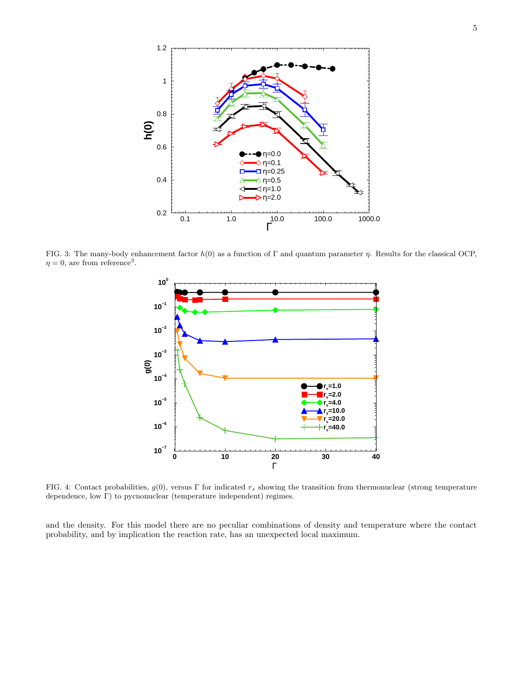

FIG. 3: The many-body enhancement factor  $h(0)$  as a function of Γ and quantum parameter η. Results for the classical OCP,  $\eta = 0$ , are from reference<sup>3</sup>.



FIG. 4: Contact probabilities,  $g(0)$ , versus Γ for indicated  $r_s$  showing the transition from thermonuclear (strong temperature dependence, low Γ) to pycnonuclear (temperature independent) regimes.

and the density. For this model there are no peculiar combinations of density and temperature where the contact probability, and by implication the reaction rate, has an unexpected local maximum.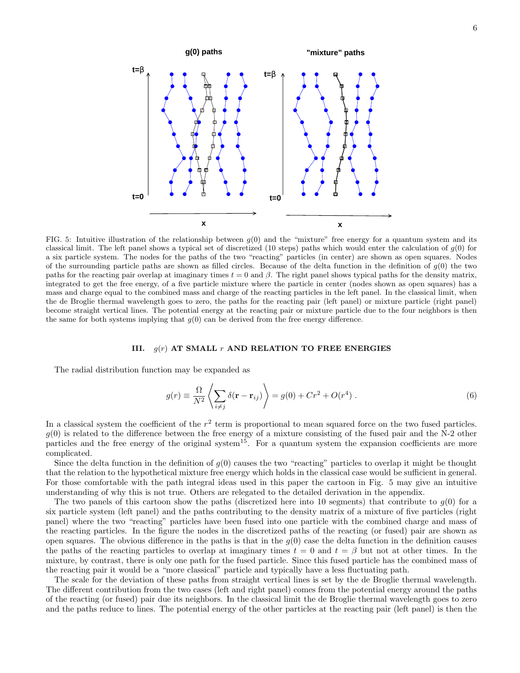

FIG. 5: Intuitive illustration of the relationship between  $g(0)$  and the "mixture" free energy for a quantum system and its classical limit. The left panel shows a typical set of discretized (10 steps) paths which would enter the calculation of  $g(0)$  for a six particle system. The nodes for the paths of the two "reacting" particles (in center) are shown as open squares. Nodes of the surrounding particle paths are shown as filled circles. Because of the delta function in the definition of  $g(0)$  the two paths for the reacting pair overlap at imaginary times  $t = 0$  and  $\beta$ . The right panel shows typical paths for the density matrix, integrated to get the free energy, of a five particle mixture where the particle in center (nodes shown as open squares) has a mass and charge equal to the combined mass and charge of the reacting particles in the left panel. In the classical limit, when the de Broglie thermal wavelength goes to zero, the paths for the reacting pair (left panel) or mixture particle (right panel) become straight vertical lines. The potential energy at the reacting pair or mixture particle due to the four neighbors is then the same for both systems implying that  $g(0)$  can be derived from the free energy difference.

#### III.  $g(r)$  AT SMALL r AND RELATION TO FREE ENERGIES

The radial distribution function may be expanded as

$$
g(r) \equiv \frac{\Omega}{N^2} \left\langle \sum_{i \neq j} \delta(\mathbf{r} - \mathbf{r}_{ij}) \right\rangle = g(0) + Cr^2 + O(r^4) . \tag{6}
$$

In a classical system the coefficient of the  $r^2$  term is proportional to mean squared force on the two fused particles.  $g(0)$  is related to the difference between the free energy of a mixture consisting of the fused pair and the N-2 other particles and the free energy of the original system<sup>15</sup>. For a quantum system the expansion coefficients are more complicated.

Since the delta function in the definition of  $g(0)$  causes the two "reacting" particles to overlap it might be thought that the relation to the hypothetical mixture free energy which holds in the classical case would be sufficient in general. For those comfortable with the path integral ideas used in this paper the cartoon in Fig. 5 may give an intuitive understanding of why this is not true. Others are relegated to the detailed derivation in the appendix.

The two panels of this cartoon show the paths (discretized here into 10 segments) that contribute to  $q(0)$  for a six particle system (left panel) and the paths contributing to the density matrix of a mixture of five particles (right panel) where the two "reacting" particles have been fused into one particle with the combined charge and mass of the reacting particles. In the figure the nodes in the discretized paths of the reacting (or fused) pair are shown as open squares. The obvious difference in the paths is that in the  $g(0)$  case the delta function in the definition causes the paths of the reacting particles to overlap at imaginary times  $t = 0$  and  $t = \beta$  but not at other times. In the mixture, by contrast, there is only one path for the fused particle. Since this fused particle has the combined mass of the reacting pair it would be a "more classical" particle and typically have a less fluctuating path.

The scale for the deviation of these paths from straight vertical lines is set by the de Broglie thermal wavelength. The different contribution from the two cases (left and right panel) comes from the potential energy around the paths of the reacting (or fused) pair due its neighbors. In the classical limit the de Broglie thermal wavelength goes to zero and the paths reduce to lines. The potential energy of the other particles at the reacting pair (left panel) is then the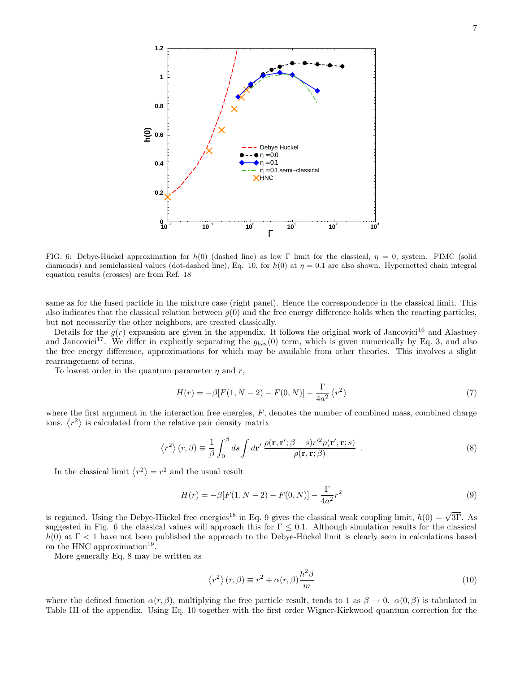

FIG. 6: Debye-Hückel approximation for h(0) (dashed line) as low Γ limit for the classical,  $\eta = 0$ , system. PIMC (solid diamonds) and semiclassical values (dot-dashed line), Eq. 10, for  $h(0)$  at  $\eta = 0.1$  are also shown. Hypernetted chain integral equation results (crosses) are from Ref. 18

same as for the fused particle in the mixture case (right panel). Hence the correspondence in the classical limit. This also indicates that the classical relation between  $g(0)$  and the free energy difference holds when the reacting particles, but not necessarily the other neighbors, are treated classically.

Details for the  $g(r)$  expansion are given in the appendix. It follows the original work of Jancovici<sup>16</sup> and Alastuev and Jancovici<sup>17</sup>. We differ in explicitly separating the  $g_{bin}(0)$  term, which is given numerically by Eq. 3, and also the free energy difference, approximations for which may be available from other theories. This involves a slight rearrangement of terms.

To lowest order in the quantum parameter  $\eta$  and  $r$ ,

$$
H(r) = -\beta [F(1, N - 2) - F(0, N)] - \frac{\Gamma}{4a^2} \langle r^2 \rangle
$$
\n(7)

where the first argument in the interaction free energies,  $F$ , denotes the number of combined mass, combined charge ions.  $\langle r^2 \rangle$  is calculated from the relative pair density matrix

$$
\langle r^2 \rangle (r,\beta) \equiv \frac{1}{\beta} \int_0^\beta ds \int d\mathbf{r}' \, \frac{\rho(\mathbf{r}, \mathbf{r}'; \beta - s) r'^2 \rho(\mathbf{r}', \mathbf{r}; s)}{\rho(\mathbf{r}, \mathbf{r}; \beta)} . \tag{8}
$$

In the classical limit  $\langle r^2 \rangle = r^2$  and the usual result

$$
H(r) = -\beta [F(1, N-2) - F(0, N)] - \frac{\Gamma}{4a^2}r^2
$$
\n(9)

is regained. Using the Debye-Hückel free energies<sup>18</sup> in Eq. 9 gives the classical weak coupling limit,  $h(0) = \sqrt{3\Gamma}$ . As suggested in Fig. 6 the classical values will approach this for  $\Gamma \leq 0.1$ . Although simulation results for the classical  $h(0)$  at  $\Gamma$  < 1 have not been published the approach to the Debye-Hückel limit is clearly seen in calculations based on the HNC approximation<sup>19</sup>.

More generally Eq. 8 may be written as

$$
\langle r^2 \rangle (r,\beta) \equiv r^2 + \alpha(r,\beta) \frac{\hbar^2 \beta}{m}
$$
 (10)

where the defined function  $\alpha(r, \beta)$ , multiplying the free particle result, tends to 1 as  $\beta \to 0$ .  $\alpha(0, \beta)$  is tabulated in Table III of the appendix. Using Eq. 10 together with the first order Wigner-Kirkwood quantum correction for the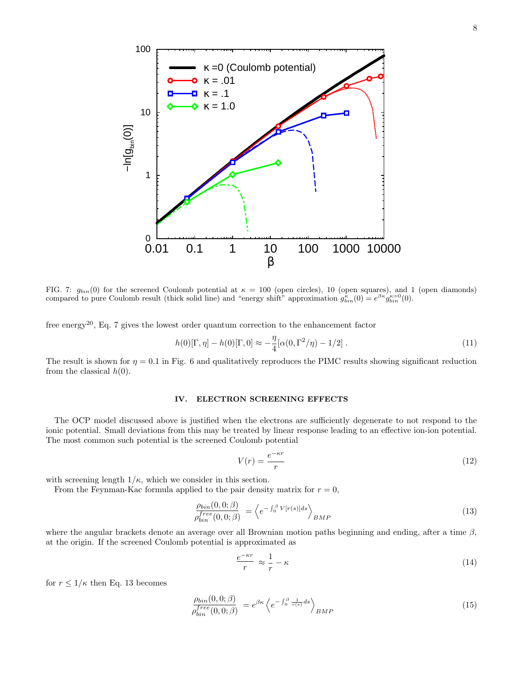

FIG. 7:  $g_{bin}(0)$  for the screened Coulomb potential at  $\kappa = 100$  (open circles), 10 (open squares), and 1 (open diamonds) compared to pure Coulomb result (thick solid line) and "energy shift" approximation  $g_{bin}^{\kappa}(0) = e^{\beta \kappa} g_{bin}^{\kappa=0}(0)$ .

free energy<sup>20</sup>, Eq. 7 gives the lowest order quantum correction to the enhancement factor

$$
h(0)[\Gamma, \eta] - h(0)[\Gamma, 0] \approx -\frac{\eta}{4} [\alpha(0, \Gamma^2/\eta) - 1/2]. \tag{11}
$$

The result is shown for  $\eta = 0.1$  in Fig. 6 and qualitatively reproduces the PIMC results showing significant reduction from the classical  $h(0)$ .

### IV. ELECTRON SCREENING EFFECTS

The OCP model discussed above is justified when the electrons are sufficiently degenerate to not respond to the ionic potential. Small deviations from this may be treated by linear response leading to an effective ion-ion potential. The most common such potential is the screened Coulomb potential

$$
V(r) = \frac{e^{-\kappa r}}{r} \tag{12}
$$

with screening length  $1/\kappa$ , which we consider in this section.

From the Feynman-Kac formula applied to the pair density matrix for  $r = 0$ ,

$$
\frac{\rho_{bin}(0,0;\beta)}{\rho_{bin}^{free}(0,0;\beta)} = \left\langle e^{-\int_0^{\beta} V[r(s)]ds} \right\rangle_{BMP}
$$
\n(13)

where the angular brackets denote an average over all Brownian motion paths beginning and ending, after a time  $\beta$ , at the origin. If the screened Coulomb potential is approximated as

$$
\frac{e^{-\kappa r}}{r} \approx \frac{1}{r} - \kappa \tag{14}
$$

for  $r \leq 1/\kappa$  then Eq. 13 becomes

$$
\frac{\rho_{bin}(0,0;\beta)}{\rho_{bin}^{free}(0,0;\beta)} = e^{\beta \kappa} \left\langle e^{-\int_0^{\beta} \frac{1}{r(s)} ds} \right\rangle_{BMP}
$$
\n(15)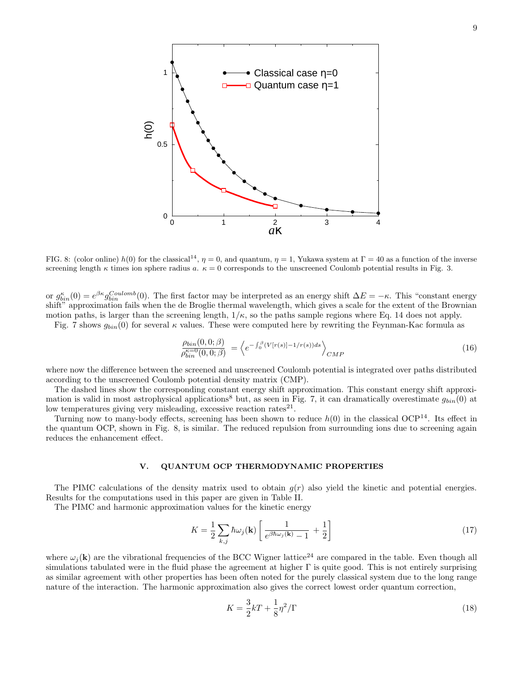

FIG. 8: (color online)  $h(0)$  for the classical<sup>14</sup>,  $\eta = 0$ , and quantum,  $\eta = 1$ , Yukawa system at  $\Gamma = 40$  as a function of the inverse screening length  $\kappa$  times ion sphere radius a.  $\kappa = 0$  corresponds to the unscreened Coulomb potential results in Fig. 3.

or  $g_{bin}^{\kappa}(0) = e^{\beta \kappa} g_{bin}^{Coulomb}(0)$ . The first factor may be interpreted as an energy shift  $\Delta E = -\kappa$ . This "constant energy" shift" approximation fails when the de Broglie thermal wavelength, which gives a scale for the extent of the Brownian motion paths, is larger than the screening length,  $1/\kappa$ , so the paths sample regions where Eq. 14 does not apply.

Fig. 7 shows  $g_{bin}(0)$  for several  $\kappa$  values. These were computed here by rewriting the Feynman-Kac formula as

$$
\frac{\rho_{bin}(0,0;\beta)}{\rho_{bin}^{\kappa=0}(0,0;\beta)} = \left\langle e^{-\int_0^\beta (V[r(s)] - 1/r(s))ds} \right\rangle_{CMP}
$$
\n(16)

where now the difference between the screened and unscreened Coulomb potential is integrated over paths distributed according to the unscreened Coulomb potential density matrix (CMP).

The dashed lines show the corresponding constant energy shift approximation. This constant energy shift approximation is valid in most astrophysical applications<sup>8</sup> but, as seen in Fig. 7, it can dramatically overestimate  $g_{bin}(0)$  at low temperatures giving very misleading, excessive reaction rates<sup>21</sup>.

Turning now to many-body effects, screening has been shown to reduce  $h(0)$  in the classical OCP<sup>14</sup>. Its effect in the quantum OCP, shown in Fig. 8, is similar. The reduced repulsion from surrounding ions due to screening again reduces the enhancement effect.

### V. QUANTUM OCP THERMODYNAMIC PROPERTIES

The PIMC calculations of the density matrix used to obtain  $g(r)$  also yield the kinetic and potential energies. Results for the computations used in this paper are given in Table II.

The PIMC and harmonic approximation values for the kinetic energy

$$
K = \frac{1}{2} \sum_{k,j} \hbar \omega_j(\mathbf{k}) \left[ \frac{1}{e^{\beta \hbar \omega_j(\mathbf{k})} - 1} + \frac{1}{2} \right]
$$
 (17)

where  $\omega_i(\mathbf{k})$  are the vibrational frequencies of the BCC Wigner lattice<sup>24</sup> are compared in the table. Even though all simulations tabulated were in the fluid phase the agreement at higher Γ is quite good. This is not entirely surprising as similar agreement with other properties has been often noted for the purely classical system due to the long range nature of the interaction. The harmonic approximation also gives the correct lowest order quantum correction,

$$
K = \frac{3}{2}kT + \frac{1}{8}\eta^2/\Gamma
$$
\n<sup>(18)</sup>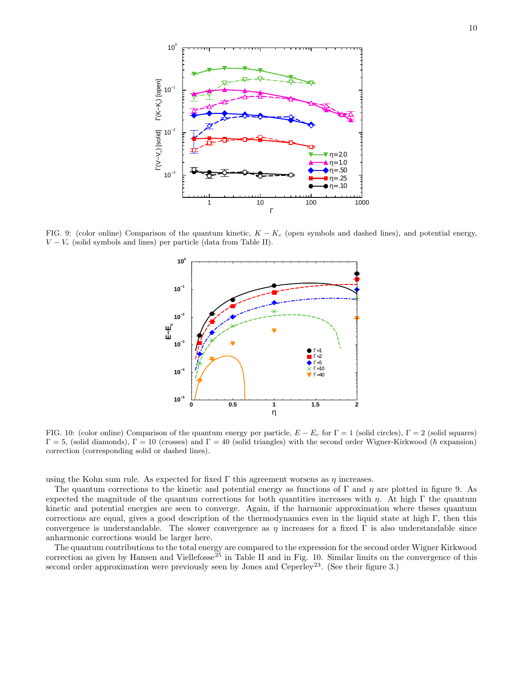

FIG. 9: (color online) Comparison of the quantum kinetic,  $K - K_c$  (open symbols and dashed lines), and potential energy,  $V - V_c$  (solid symbols and lines) per particle (data from Table II).



FIG. 10: (color online) Comparison of the quantum energy per particle,  $E - E_c$  for  $\Gamma = 1$  (solid circles),  $\Gamma = 2$  (solid squares)  $\Gamma = 5$ , (solid diamonds),  $\Gamma = 10$  (crosses) and  $\Gamma = 40$  (solid triangles) with the second order Wigner-Kirkwood ( $\hbar$  expansion) correction (corresponding solid or dashed lines).

using the Kohn sum rule. As expected for fixed  $\Gamma$  this agreement worsens as  $\eta$  increases.

The quantum corrections to the kinetic and potential energy as functions of Γ and η are plotted in figure 9. As expected the magnitude of the quantum corrections for both quantities increases with  $\eta$ . At high Γ the quantum kinetic and potential energies are seen to converge. Again, if the harmonic approximation where theses quantum corrections are equal, gives a good description of the thermodynamics even in the liquid state at high Γ, then this convergence is understandable. The slower convergence as  $\eta$  increases for a fixed  $\Gamma$  is also understandable since anharmonic corrections would be larger here.

The quantum contributions to the total energy are compared to the expression for the second order Wigner Kirkwood correction as given by Hansen and Viellefosse<sup> $25$ </sup> in Table II and in Fig. 10. Similar limits on the convergence of this second order approximation were previously seen by Jones and Ceperley<sup>23</sup>. (See their figure 3.)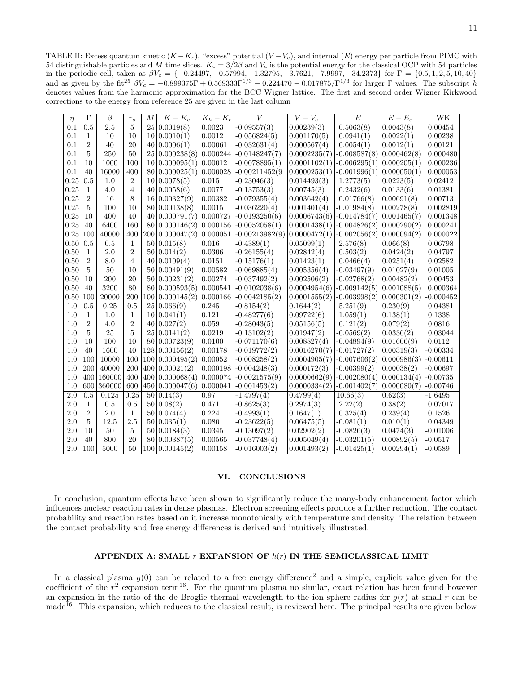TABLE II: Excess quantum kinetic  $(K - K_c)$ , "excess" potential  $(V - V_c)$ , and internal  $(E)$  energy per particle from PIMC with 54 distinguishable particles and M time slices.  $K_c = 3/2\beta$  and  $V_c$  is the potential energy for the classical OCP with 54 particles in the periodic cell, taken as  $\beta V_c = \{-0.24497, -0.57994, -1.32795, -3.7621, -7.9997, -34.2373\}$  for  $\Gamma = \{0.5, 1, 2, 5, 10, 40\}$ and as given by the fit<sup>25</sup>  $\beta V_c = -0.899375\Gamma + 0.569333\Gamma^{1/3} - 0.224470 - 0.017875/\Gamma^{1/3}$  for larger  $\Gamma$  values. The subscript h denotes values from the harmonic approximation for the BCC Wigner lattice. The first and second order Wigner Kirkwood corrections to the energy from reference 25 are given in the last column

| $\eta$           | $\overline{\Gamma}$ | β                | $r_s$          | $\overline{M}$ | $K - K_c$      | $K_h - K_c$ | V                | $\overline{V-V_c}$ | $\overline{E}$ | $E-E_c$     | WK            |
|------------------|---------------------|------------------|----------------|----------------|----------------|-------------|------------------|--------------------|----------------|-------------|---------------|
| 0.1              | $\overline{0.5}$    | $\overline{2.5}$ | 5              | 25             | 0.0019(8)      | 0.0023      | $-0.09557(3)$    | 0.00239(3)         | 0.5063(8)      | 0.0043(8)   | 0.00454       |
| 0.1              | 1                   | 10               | 10             | 10             | 0.0010(1)      | 0.0012      | $-0.056824(5)$   | 0.001170(5)        | 0.0941(1)      | 0.0022(1)   | 0.00238       |
| 0.1              | $\overline{2}$      | 40               | 20             | 40             | 0.0006(1)      | 0.00061     | $-0.032631(4)$   | 0.000567(4)        | 0.0054(1)      | 0.0012(1)   | 0.00121       |
| 0.1              | 5                   | 250              | 50             | 25             | 0.000238(8)    | 0.000244    | $-0.0148247(7)$  | 0.0002235(7)       | $-0.008587(8)$ | 0.000462(8) | 0.000480      |
| 0.1              | 10                  | 1000             | 100            | 10             | 0.000095(1)    | 0.00012     | $-0.0078895(1)$  | 0.0001102(1)       | $-0.006295(1)$ | 0.000205(1) | 0.000236      |
| 0.1              | 40                  | 16000            | 400            | 80             | 0.000025(1)    | 0.000028    | $-0.00211452(9)$ | 0.0000253(1)       | $-0.001996(1)$ | 0.000050(1) | 0.000053      |
| 0.25             | 0.5                 | 1.0              | $\overline{2}$ | 10             | 0.0078(5)      | 0.015       | $-0.23046(3)$    | 0.014493(3)        | 1.2773(5)      | 0.0223(5)   | 0.02412       |
| 0.25             | $\mathbf{1}$        | 4.0              | 4              | 40             | 0.0058(6)      | 0.0077      | $-0.13753(3)$    | 0.00745(3)         | 0.2432(6)      | 0.0133(6)   | $\,0.01381\,$ |
| 0.25             | $\overline{2}$      | 16               | 8              | 16             | 0.00327(9)     | 0.00382     | $-0.079355(4)$   | 0.003642(4)        | 0.01766(8)     | 0.00691(8)  | 0.00713       |
| 0.25             | 5                   | 100              | 10             | 80             | 0.00138(8)     | 0.0015      | $-0.036220(4)$   | 0.001401(4)        | $-0.01984(8)$  | 0.00278(8)  | 0.002819      |
| 0.25             | 10                  | 400              | 40             | 40             | 0.000791(7)    | 0.000727    | $-0.0193250(6)$  | 0.0006743(6)       | $-0.014784(7)$ | 0.001465(7) | 0.001348      |
| $0.25\,$         | 40                  | 6400             | 160            | 80             | 0.000146(2)    | 0.000156    | $-0.0052058(1)$  | 0.0001438(1)       | $-0.004826(2)$ | 0.000290(2) | 0.000241      |
| $0.25\,$         | 100                 | 40000            | 400            | 200            | 0.000047(2)    | 0.000051    | $-0.00213982(9)$ | 0.0000472(1)       | $-0.002056(2)$ | 0.000094(2) | 0.000022      |
| 0.50             | 0.5                 | 0.5              | 1              | 50             | 0.015(8)       | 0.016       | $-0.4389(1)$     | 0.05099(1)         | 2.576(8)       | 0.066(8)    | 0.06798       |
| 0.50             | 1                   | 2.0              | $\overline{2}$ | 50             | 0.014(2)       | 0.0306      | $-0.26155(4)$    | 0.02842(4)         | 0.503(2)       | 0.0424(2)   | 0.04797       |
| 0.50             | $\overline{2}$      | 8.0              | 4              | 40             | 0.0109(4)      | 0.0151      | $-0.15176(1)$    | 0.01423(1)         | 0.0466(4)      | 0.0251(4)   | 0.02582       |
| 0.50             | 5                   | 50               | 10             | 50             | 0.00491(9)     | 0.00582     | $-0.069885(4)$   | 0.005356(4)        | $-0.03497(9)$  | 0.01027(9)  | 0.01005       |
| 0.50             | 10                  | 200              | 20             | 50             | 0.00231(2)     | 0.00274     | $-0.037492(2)$   | 0.002506(2)        | $-0.02768(2)$  | 0.00482(2)  | 0.00453       |
| 0.50             | 40                  | 3200             | 80             | 80             | 0.000593(5)    | 0.000541    | $-0.0102038(6)$  | 0.0004954(6)       | $-0.009142(5)$ | 0.001088(5) | 0.000364      |
| 0.50             | 100                 | 20000            | 200            | 100            | 0.000145(2)    | 0.000166    | $-0.0042185(2)$  | 0.0001555(2)       | $-0.003998(2)$ | 0.000301(2) | $-0.000452$   |
| 1.0              | 0.5                 | 0.25             | 0.5            | 25             | 0.066(9)       | 0.245       | $-0.8154(2)$     | 0.1644(2)          | 5.251(9)       | 0.230(9)    | 0.04381       |
| 1.0              | 1                   | 1.0              | 1              | 10             | 0.041(1)       | 0.121       | $-0.48277(6)$    | 0.09722(6)         | 1.059(1)       | 0.138(1)    | 0.1338        |
| 1.0              | $\overline{2}$      | 4.0              | $\overline{2}$ | 40             | 0.027(2)       | 0.059       | $-0.28043(5)$    | 0.05156(5)         | 0.121(2)       | 0.079(2)    | 0.0816        |
| 1.0              | 5                   | 25               | 5              | 25             | 0.0141(2)      | 0.0219      | $-0.13102(2)$    | 0.01947(2)         | $-0.0569(2)$   | 0.0336(2)   | 0.03044       |
| 1.0              | 10                  | 100              | 10             | 80             | 0.00723(9)     | 0.0100      | $-0.071170(6)$   | 0.008827(4)        | $-0.04894(9)$  | 0.01606(9)  | 0.0112        |
| 1.0              | 40                  | 1600             | 40             | 128            | 0.00156(2)     | 0.00178     | $-0.019772(2)$   | 0.0016270(7)       | $-0.01727(2)$  | 0.00319(3)  | $-0.00334$    |
| 1.0              | 100                 | 10000            | 100            | 100            | 0.000495(2)    | 0.00052     | $-0.008258(2)$   | 0.0004905(7)       | $-0.007606(2)$ | 0.000986(3) | $-0.00611$    |
| 1.0              | 200                 | 40000            | 200            | 400            | 0.00021(2)     | 0.000198    | $-0.004248(3)$   | 0.000172(3)        | $-0.00399(2)$  | 0.00038(2)  | $-0.00697$    |
| 1.0              | 400                 | 160000           | 400            | 400            | 0.000068(4)    | 0.000074    | $-0.0021575(9)$  | 0.0000662(9)       | $-0.002080(4)$ | 0.000134(4) | $-0.00735$    |
| 1.0              | 600                 | 360000           | 600            | 450            | 0.000047(6)    | 0.000041    | $-0.001453(2)$   | 0.0000334(2)       | $-0.001402(7)$ | 0.000080(7) | $-0.00746$    |
| $\overline{2.0}$ | 0.5                 | 0.125            | 0.25           | 50             | 0.14(3)        | 0.97        | $-1.4797(4)$     | 0.4799(4)          | 10.66(3)       | 0.62(3)     | $-1.6495$     |
| 2.0              | $\mathbf{1}$        | 0.5              | 0.5            | 50             | 0.08(2)        | 0.471       | $-0.8625(3)$     | 0.2974(3)          | 2.22(2)        | 0.38(2)     | 0.07017       |
| 2.0              | $\overline{2}$      | 2.0              | 1              | 50             | 0.074(4)       | 0.224       | $-0.4993(1)$     | 0.1647(1)          | 0.325(4)       | 0.239(4)    | 0.1526        |
| 2.0              | 5                   | 12.5             | 2.5            | 50             | 0.035(1)       | $0.080\,$   | $-0.23622(5)$    | 0.06475(5)         | $-0.081(1)$    | 0.010(1)    | 0.04349       |
| 2.0              | 10                  | 50               | 5              | 50             | 0.0184(3)      | 0.0345      | $-0.13097(2)$    | 0.02902(2)         | $-0.0826(3)$   | 0.0474(3)   | $-0.01006$    |
| 2.0              | 40                  | 800              | 20             | 80             | 0.00387(5)     | 0.00565     | $-0.037748(4)$   | 0.005049(4)        | $-0.03201(5)$  | 0.00892(5)  | $-0.0517$     |
| 2.0              | 100                 | 5000             | 50             |                | 100 0.00145(2) | 0.00158     | $-0.016003(2)$   | 0.001493(2)        | $-0.01425(1)$  | 0.00294(1)  | $-0.0589$     |

## VI. CONCLUSIONS

In conclusion, quantum effects have been shown to significantly reduce the many-body enhancement factor which influences nuclear reaction rates in dense plasmas. Electron screening effects produce a further reduction. The contact probability and reaction rates based on it increase monotonically with temperature and density. The relation between the contact probability and free energy differences is derived and intuitively illustrated.

# APPENDIX A: SMALL  $r$  EXPANSION OF  $h(r)$  IN THE SEMICLASSICAL LIMIT

In a classical plasma  $g(0)$  can be related to a free energy difference<sup>2</sup> and a simple, explicit value given for the coefficient of the  $r^2$  expansion term<sup>16</sup>. For the quantum plasma no similar, exact relation has been found however an expansion in the ratio of the de Broglie thermal wavelength to the ion sphere radius for  $g(r)$  at small r can be made<sup>16</sup>. This expansion, which reduces to the classical result, is reviewed here. The principal results are given below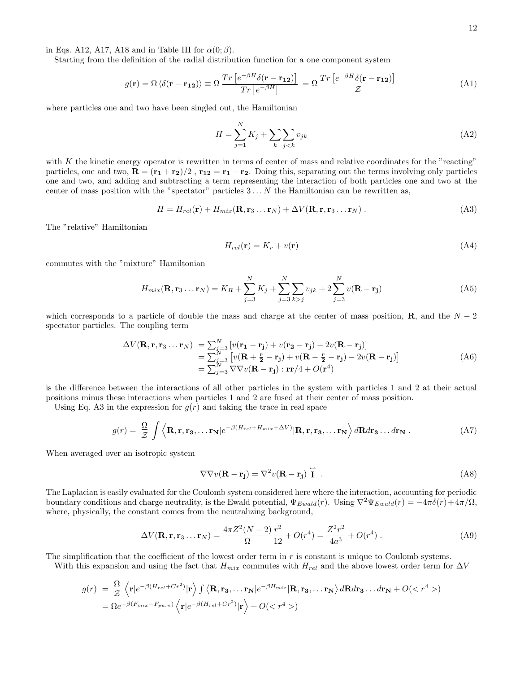in Eqs. A12, A17, A18 and in Table III for  $\alpha(0;\beta)$ .

Starting from the definition of the radial distribution function for a one component system

$$
g(\mathbf{r}) = \Omega \left\langle \delta(\mathbf{r} - \mathbf{r}_{12}) \right\rangle \equiv \Omega \frac{Tr \left[ e^{-\beta H} \delta(\mathbf{r} - \mathbf{r}_{12}) \right]}{Tr \left[ e^{-\beta H} \right]} = \Omega \frac{Tr \left[ e^{-\beta H} \delta(\mathbf{r} - \mathbf{r}_{12}) \right]}{\mathcal{Z}}
$$
(A1)

where particles one and two have been singled out, the Hamiltonian

$$
H = \sum_{j=1}^{N} K_j + \sum_{k} \sum_{j < k} v_{jk} \tag{A2}
$$

with  $K$  the kinetic energy operator is rewritten in terms of center of mass and relative coordinates for the "reacting" particles, one and two,  $\mathbf{R} = (\mathbf{r_1} + \mathbf{r_2})/2$ ,  $\mathbf{r_{12}} = \mathbf{r_1} - \mathbf{r_2}$ . Doing this, separating out the terms involving only particles one and two, and adding and subtracting a term representing the interaction of both particles one and two at the center of mass position with the "spectator" particles  $3 \ldots N$  the Hamiltonian can be rewritten as,

 $H = H_{rel}(\mathbf{r}) + H_{mix}(\mathbf{R}, \mathbf{r}_3 \dots \mathbf{r}_N) + \Delta V(\mathbf{R}, \mathbf{r}, \mathbf{r}_3 \dots \mathbf{r}_N)$  . (A3)

The "relative" Hamiltonian

$$
H_{rel}(\mathbf{r}) = K_r + v(\mathbf{r})\tag{A4}
$$

commutes with the "mixture" Hamiltonian

$$
H_{mix}(\mathbf{R}, \mathbf{r}_3 \dots \mathbf{r}_N) = K_R + \sum_{j=3}^{N} K_j + \sum_{j=3}^{N} \sum_{k>j} v_{jk} + 2 \sum_{j=3}^{N} v(\mathbf{R} - \mathbf{r}_j)
$$
(A5)

which corresponds to a particle of double the mass and charge at the center of mass position, **R**, and the  $N-2$ spectator particles. The coupling term

$$
\Delta V(\mathbf{R}, \mathbf{r}, \mathbf{r}_3 \dots \mathbf{r}_N) = \sum_{j=3}^N \left[ v(\mathbf{r}_1 - \mathbf{r}_j) + v(\mathbf{r}_2 - \mathbf{r}_j) - 2v(\mathbf{R} - \mathbf{r}_j) \right]
$$
  
\n
$$
= \sum_{j=3}^N \left[ v(\mathbf{R} + \frac{\mathbf{r}}{2} - \mathbf{r}_j) + v(\mathbf{R} - \frac{\mathbf{r}}{2} - \mathbf{r}_j) - 2v(\mathbf{R} - \mathbf{r}_j) \right]
$$
  
\n
$$
= \sum_{j=3}^N \nabla \nabla v(\mathbf{R} - \mathbf{r}_j) : \mathbf{r} \mathbf{r}/4 + O(\mathbf{r}^4)
$$
 (A6)

is the difference between the interactions of all other particles in the system with particles 1 and 2 at their actual positions minus these interactions when particles 1 and 2 are fused at their center of mass position.

Using Eq. A3 in the expression for  $g(r)$  and taking the trace in real space

$$
g(r) = \frac{\Omega}{\mathcal{Z}} \int \left\langle \mathbf{R}, \mathbf{r}, \mathbf{r}_3, \dots \mathbf{r}_N \middle| e^{-\beta (H_{rel} + H_{mix} + \Delta V)} | \mathbf{R}, \mathbf{r}, \mathbf{r}_3, \dots \mathbf{r}_N \right\rangle d\mathbf{R} d\mathbf{r}_3 \dots d\mathbf{r}_N . \tag{A7}
$$

When averaged over an isotropic system

$$
\nabla \nabla v(\mathbf{R} - \mathbf{r_j}) = \nabla^2 v(\mathbf{R} - \mathbf{r_j}) \stackrel{\leftrightarrow}{\mathbf{I}} . \tag{A8}
$$

The Laplacian is easily evaluated for the Coulomb system considered here where the interaction, accounting for periodic boundary conditions and charge neutrality, is the Ewald potential,  $\Psi_{Ewald}(r)$ . Using  $\nabla^2 \Psi_{Ewald}(r) = -4\pi \delta(r) + 4\pi/\Omega$ , where, physically, the constant comes from the neutralizing background,

$$
\Delta V(\mathbf{R}, \mathbf{r}, \mathbf{r}_3 \dots \mathbf{r}_N) = \frac{4\pi Z^2 (N-2)}{\Omega} \frac{r^2}{12} + O(r^4) = \frac{Z^2 r^2}{4a^3} + O(r^4) \tag{A9}
$$

The simplification that the coefficient of the lowest order term in r is constant is unique to Coulomb systems.

With this expansion and using the fact that  $H_{mix}$  commutes with  $H_{rel}$  and the above lowest order term for  $\Delta V$ 

$$
g(r) = \frac{\Omega}{Z} \left\langle \mathbf{r} | e^{-\beta (H_{rel} + Cr^2)} | \mathbf{r} \right\rangle \int \left\langle \mathbf{R}, \mathbf{r_3}, \dots \mathbf{r_N} | e^{-\beta H_{mix}} | \mathbf{R}, \mathbf{r_3}, \dots \mathbf{r_N} \right\rangle d\mathbf{R} d\mathbf{r_3} \dots d\mathbf{r_N} + O(\langle r^4 \rangle)
$$
  
=  $\Omega e^{-\beta (F_{mix} - F_{pure})} \left\langle \mathbf{r} | e^{-\beta (H_{rel} + Cr^2)} | \mathbf{r} \right\rangle + O(\langle r^4 \rangle))$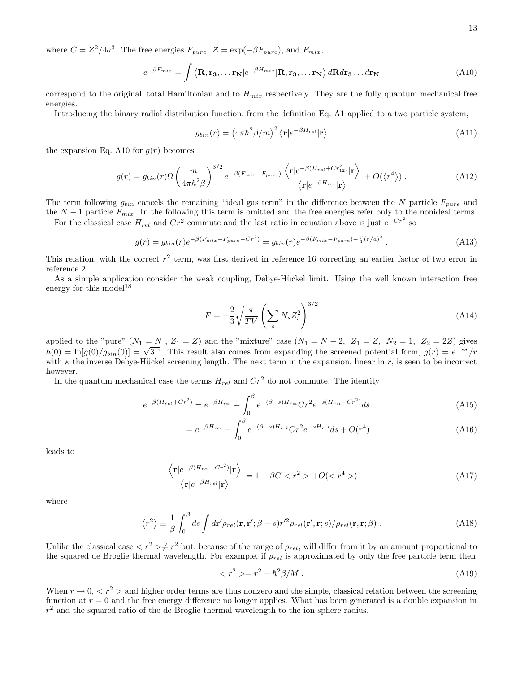where  $C = Z^2/4a^3$ . The free energies  $F_{pure}$ ,  $\mathcal{Z} = \exp(-\beta F_{pure})$ , and  $F_{mix}$ ,

$$
e^{-\beta F_{mix}} = \int \langle \mathbf{R}, \mathbf{r_3}, \dots \mathbf{r_N} | e^{-\beta H_{mix}} | \mathbf{R}, \mathbf{r_3}, \dots \mathbf{r_N} \rangle d\mathbf{R} d\mathbf{r_3} \dots d\mathbf{r_N}
$$
(A10)

correspond to the original, total Hamiltonian and to  $H_{mix}$  respectively. They are the fully quantum mechanical free energies.

Introducing the binary radial distribution function, from the definition Eq. A1 applied to a two particle system,

$$
g_{bin}(r) = \left(4\pi\hbar^2\beta/m\right)^2 \left\langle \mathbf{r} | e^{-\beta H_{rel}} | \mathbf{r} \right\rangle \tag{A11}
$$

the expansion Eq. A10 for  $g(r)$  becomes

$$
g(r) = g_{bin}(r)\Omega\left(\frac{m}{4\pi\hbar^2\beta}\right)^{3/2}e^{-\beta(F_{mix}-F_{pure})}\frac{\left\langle \mathbf{r}|e^{-\beta(H_{rel}+Cr_{12}^2)}|\mathbf{r}\right\rangle}{\left\langle \mathbf{r}|e^{-\beta H_{rel}}|\mathbf{r}\right\rangle} + O(\left\langle r^4\right\rangle). \tag{A12}
$$

The term following  $g_{bin}$  cancels the remaining "ideal gas term" in the difference between the N particle  $F_{pure}$  and the  $N-1$  particle  $F_{mix}$ . In the following this term is omitted and the free energies refer only to the nonideal terms.

For the classical case  $H_{rel}$  and  $Cr^2$  commute and the last ratio in equation above is just  $e^{-Cr^2}$  so

$$
g(r) = g_{bin}(r)e^{-\beta(F_{mix} - F_{pure} - Cr^2)} = g_{bin}(r)e^{-\beta(F_{mix} - F_{pure}) - \frac{\Gamma}{4}(r/a)^2}.
$$
 (A13)

This relation, with the correct  $r^2$  term, was first derived in reference 16 correcting an earlier factor of two error in reference 2.

As a simple application consider the weak coupling, Debye-Hückel limit. Using the well known interaction free energy for this model<sup>18</sup>

$$
F = -\frac{2}{3} \sqrt{\frac{\pi}{TV}} \left( \sum_s N_s Z_s^2 \right)^{3/2} \tag{A14}
$$

applied to the "pure"  $(N_1 = N, Z_1 = Z)$  and the "mixture" case  $(N_1 = N - 2, Z_1 = Z, N_2 = 1, Z_2 = 2Z)$  gives  $h(0) = \ln[g(0)/g_{bin}(0)] = \sqrt{3\Gamma}$ . This result also comes from expanding the screened potential form,  $g(r) = e^{-\kappa r}/r$ with  $\kappa$  the inverse Debye-Hückel screening length. The next term in the expansion, linear in r, is seen to be incorrect however.

In the quantum mechanical case the terms  $H_{rel}$  and  $Cr^2$  do not commute. The identity

$$
e^{-\beta(H_{rel} + Cr^2)} = e^{-\beta H_{rel}} - \int_0^\beta e^{-(\beta - s)H_{rel}} Cr^2 e^{-s(H_{rel} + Cr^2)} ds \tag{A15}
$$

$$
=e^{-\beta H_{rel}} - \int_0^\beta e^{-(\beta - s)H_{rel}} Cr^2 e^{-sH_{rel}} ds + O(r^4)
$$
\n(A16)

leads to

$$
\frac{\left\langle \mathbf{r} | e^{-\beta (H_{rel} + Cr^2)} | \mathbf{r} \right\rangle}{\left\langle \mathbf{r} | e^{-\beta H_{rel}} | \mathbf{r} \right\rangle} = 1 - \beta C < r^2 > +O(\langle r^4 \rangle) \tag{A17}
$$

where

$$
\langle r^2 \rangle \equiv \frac{1}{\beta} \int_0^\beta ds \int d\mathbf{r}' \rho_{rel}(\mathbf{r}, \mathbf{r}'; \beta - s) r'^2 \rho_{rel}(\mathbf{r}', \mathbf{r}; s) / \rho_{rel}(\mathbf{r}, \mathbf{r}; \beta) . \tag{A18}
$$

Unlike the classical case  $\langle r^2 \rangle \neq r^2$  but, because of the range of  $\rho_{rel}$ , will differ from it by an amount proportional to the squared de Broglie thermal wavelength. For example, if  $\rho_{rel}$  is approximated by only the free particle term then

$$
\langle r^2 \rangle = r^2 + \hbar^2 \beta / M \,. \tag{A19}
$$

When  $r \to 0, \langle r^2 \rangle$  and higher order terms are thus nonzero and the simple, classical relation between the screening function at  $r = 0$  and the free energy difference no longer applies. What has been generated is a double expansion in  $r<sup>2</sup>$  and the squared ratio of the de Broglie thermal wavelength to the ion sphere radius.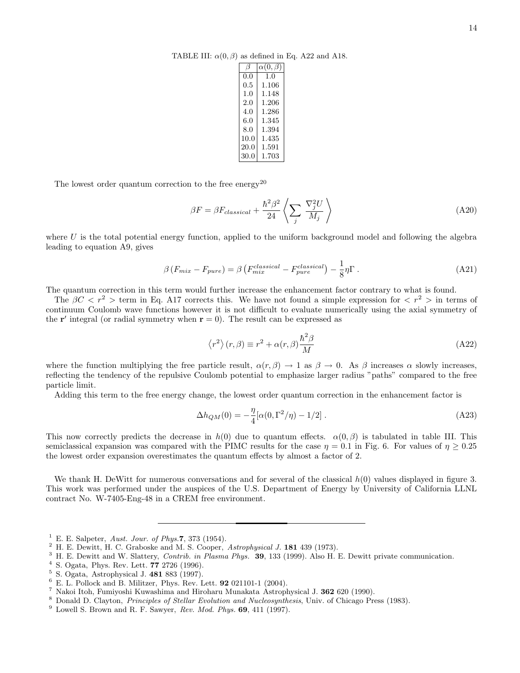TABLE III:  $\alpha(0, \beta)$  as defined in Eq. A22 and A18.

|         | $\alpha(0,\beta$ |
|---------|------------------|
| 0.0     | 1.0              |
| $0.5\,$ | 1.106            |
| 1.0     | 1.148            |
| 2.0     | 1.206            |
| 4.0     | 1.286            |
| 6.0     | 1.345            |
| 8.0     | 1.394            |
| 10.0    | 1.435            |
| 20.0    | 1.591            |
| 30.0    | 1.703            |

The lowest order quantum correction to the free  ${\rm energy}^{20}$ 

$$
\beta F = \beta F_{classical} + \frac{\hbar^2 \beta^2}{24} \left\langle \sum_j \frac{\nabla_j^2 U}{M_j} \right\rangle \tag{A20}
$$

where  $U$  is the total potential energy function, applied to the uniform background model and following the algebra leading to equation A9, gives

$$
\beta \left( F_{mix} - F_{pure} \right) = \beta \left( F_{mix}^{classical} - F_{pure}^{classical} \right) - \frac{1}{8} \eta \Gamma \,. \tag{A21}
$$

The quantum correction in this term would further increase the enhancement factor contrary to what is found.

The  $\beta C < r^2$  > term in Eq. A17 corrects this. We have not found a simple expression for  $\langle r^2 \rangle$  in terms of continuum Coulomb wave functions however it is not difficult to evaluate numerically using the axial symmetry of the  $\mathbf{r}'$  integral (or radial symmetry when  $\mathbf{r} = 0$ ). The result can be expressed as

$$
\langle r^2 \rangle (r,\beta) \equiv r^2 + \alpha(r,\beta) \frac{\hbar^2 \beta}{M}
$$
 (A22)

where the function multiplying the free particle result,  $\alpha(r, \beta) \rightarrow 1$  as  $\beta \rightarrow 0$ . As  $\beta$  increases  $\alpha$  slowly increases, reflecting the tendency of the repulsive Coulomb potential to emphasize larger radius "paths" compared to the free particle limit.

Adding this term to the free energy change, the lowest order quantum correction in the enhancement factor is

$$
\Delta h_{QM}(0) = -\frac{\eta}{4} [\alpha(0, \Gamma^2/\eta) - 1/2] . \tag{A23}
$$

This now correctly predicts the decrease in  $h(0)$  due to quantum effects.  $\alpha(0,\beta)$  is tabulated in table III. This semiclassical expansion was compared with the PIMC results for the case  $\eta = 0.1$  in Fig. 6. For values of  $\eta \ge 0.25$ the lowest order expansion overestimates the quantum effects by almost a factor of 2.

We thank H. DeWitt for numerous conversations and for several of the classical  $h(0)$  values displayed in figure 3. This work was performed under the auspices of the U.S. Department of Energy by University of California LLNL contract No. W-7405-Eng-48 in a CREM free environment.

<sup>&</sup>lt;sup>1</sup> E. E. Salpeter, Aust. Jour. of Phys.7, 373 (1954).

<sup>2</sup> H. E. Dewitt, H. C. Graboske and M. S. Cooper, Astrophysical J. 181 439 (1973).

<sup>&</sup>lt;sup>3</sup> H. E. Dewitt and W. Slattery, *Contrib. in Plasma Phys.* **39**, 133 (1999). Also H. E. Dewitt private communication.

 $4$  S. Ogata, Phys. Rev. Lett. 77 2726 (1996).

<sup>5</sup> S. Ogata, Astrophysical J. 481 883 (1997).

 $6$  E. L. Pollock and B. Militzer, Phys. Rev. Lett. **92** 021101-1 (2004).

<sup>7</sup> Nakoi Itoh, Fumiyoshi Kuwashima and Hiroharu Munakata Astrophysical J. 362 620 (1990).

<sup>8</sup> Donald D. Clayton, Principles of Stellar Evolution and Nucleosynthesis, Univ. of Chicago Press (1983).

 $9$  Lowell S. Brown and R. F. Sawyer, Rev. Mod. Phys. 69, 411 (1997).